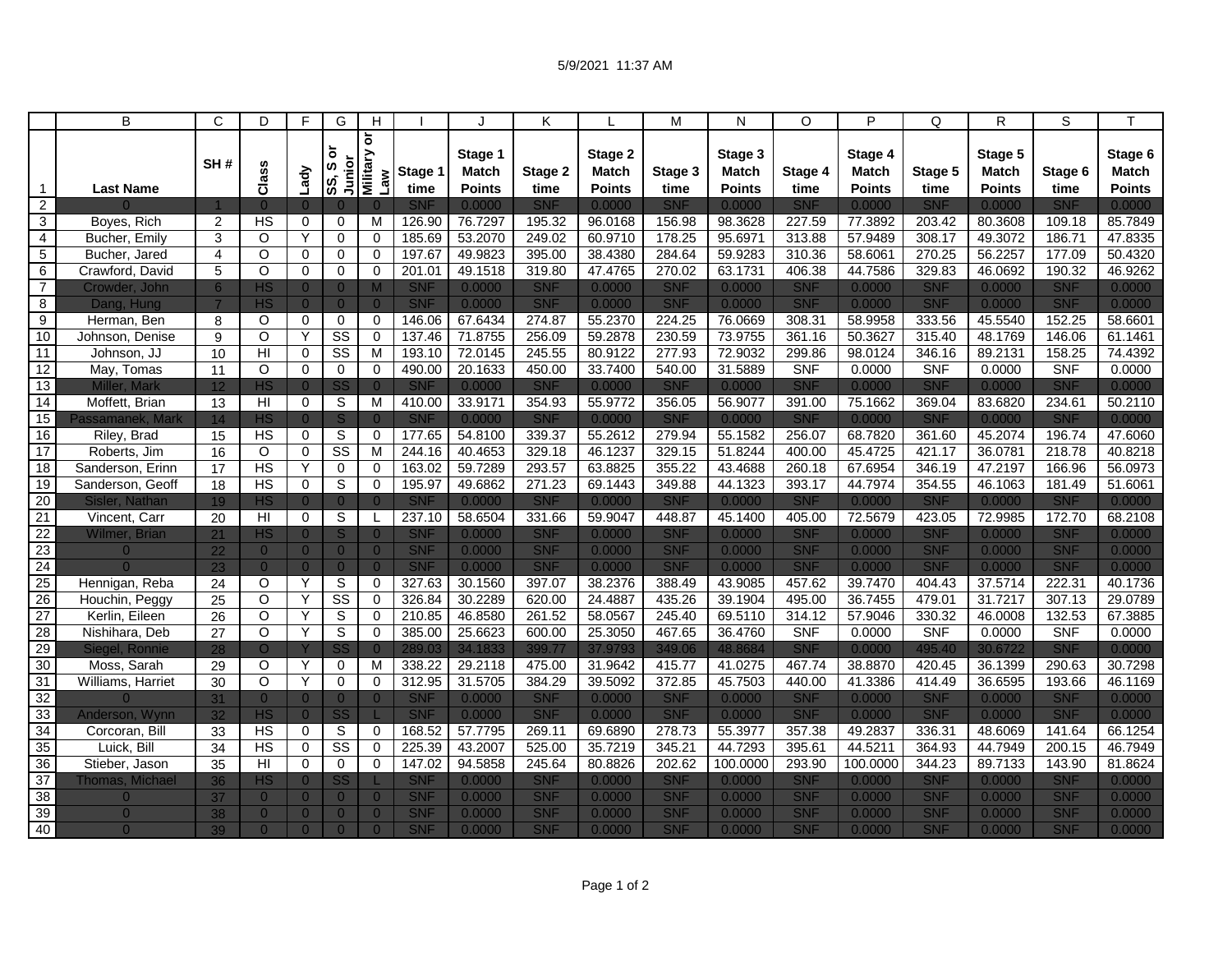|                                  | B                                | C                     | D                             | F                                | G                                | Н                                  |                          |                         | Κ                        |                    | M                        | N                       | O                        | P                       | Q                        | R.                | $\overline{s}$           | т                       |
|----------------------------------|----------------------------------|-----------------------|-------------------------------|----------------------------------|----------------------------------|------------------------------------|--------------------------|-------------------------|--------------------------|--------------------|--------------------------|-------------------------|--------------------------|-------------------------|--------------------------|-------------------|--------------------------|-------------------------|
|                                  |                                  | SH#                   | Class                         | Lady                             | ō<br>Junior<br>SS, S             | ă<br><b>Military</b><br><b>Law</b> | Stage 1                  | Stage 1<br><b>Match</b> | Stage 2                  | Stage 2<br>Match   | Stage 3                  | Stage 3<br><b>Match</b> | Stage 4                  | Stage 4<br><b>Match</b> | Stage 5                  | Stage 5<br>Match  | Stage 6                  | Stage 6<br><b>Match</b> |
| 1                                | <b>Last Name</b>                 |                       |                               |                                  |                                  |                                    | time                     | Points                  | time                     | <b>Points</b>      | time                     | <b>Points</b>           | time                     | <b>Points</b>           | time                     | <b>Points</b>     | time                     | <b>Points</b>           |
| $\overline{2}$                   |                                  |                       | $\Omega$                      | $\overline{0}$                   | $\overline{0}$                   | $\Omega$                           | <b>SNF</b>               | 0.0000                  | <b>SNF</b>               | 0.0000             | <b>SNF</b>               | 0.0000                  | <b>SNF</b>               | 0.0000                  | <b>SNF</b>               | 0.0000            | <b>SNF</b>               | 0.0000                  |
| 3                                | Boyes, Rich                      | $\overline{2}$        | HS                            | $\mathbf 0$                      | 0                                | M                                  | 126.90                   | 76.7297                 | 195.32                   | 96.0168            | 156.98                   | 98.3628                 | 227.59                   | 77.3892                 | 203.42                   | 80.3608           | 109.18                   | 85.7849                 |
| $\overline{4}$                   | Bucher, Emily                    | 3                     | $\circ$                       | Υ                                | $\Omega$                         | $\mathbf 0$                        | 185.69                   | 53.2070                 | 249.02                   | 60.9710            | 178.25                   | 95.6971                 | 313.88                   | 57.9489                 | 308.17                   | 49.3072           | 186.71                   | 47.8335                 |
| 5                                | Bucher, Jared                    | 4                     | $\circ$<br>$\overline{\circ}$ | $\Omega$                         | $\Omega$                         | $\Omega$                           | 197.67                   | 49.9823                 | 395.00                   | 38.4380            | 284.64                   | 59.9283                 | 310.36                   | 58.6061                 | 270.25                   | 56.2257           | 177.09                   | 50.4320                 |
| 6                                | Crawford, David                  | 5                     |                               | 0                                | $\mathbf 0$                      | 0                                  | 201.01                   | 49.1518                 | 319.80                   | 47.4765            | 270.02                   | 63.1731                 | 406.38                   | 44.7586                 | 329.83                   | 46.0692           | 190.32                   | 46.9262                 |
| $\overline{7}$<br>$\overline{8}$ | Crowder, John<br>Dang, Hung      | 6                     | <b>HS</b><br><b>HS</b>        | $\overline{0}$<br>$\overline{0}$ | $\overline{0}$<br>$\overline{0}$ | $\Omega$                           | <b>SNF</b><br><b>SNF</b> | 0.0000<br>0.0000        | <b>SNF</b><br><b>SNF</b> | 0.0000<br>0.0000   | <b>SNF</b><br><b>SNF</b> | 0.0000<br>0.0000        | <b>SNF</b><br><b>SNF</b> | 0.0000<br>0.0000        | <b>SNF</b><br><b>SNF</b> | 0.0000<br>0.0000  | <b>SNF</b><br><b>SNF</b> | 0.0000<br>0.0000        |
| $\overline{9}$                   | Herman, Ben                      | 8                     | $\circ$                       | $\mathbf 0$                      | $\mathbf 0$                      | $\mathbf 0$                        | 146.06                   | 67.6434                 | 274.87                   | 55.2370            | 224.25                   | 76.0669                 | 308.31                   | 58.9958                 | 333.56                   | 45.5540           | 152.25                   | 58.6601                 |
| 10                               | Johnson, Denise                  | 9                     | $\overline{O}$                | Y                                | $\overline{\text{SS}}$           | $\Omega$                           | 137.46                   | 71.8755                 | 256.09                   | 59.2878            | 230.59                   | 73.9755                 | 361.16                   | 50.3627                 | 315.40                   | 48.1769           | 146.06                   | 61.1461                 |
| $\overline{11}$                  | Johnson, JJ                      | 10                    | HI                            | 0                                | $\overline{\text{ss}}$           | M                                  | 193.10                   | 72.0145                 | 245.55                   | 80.9122            | 277.93                   | 72.9032                 | 299.86                   | 98.0124                 | 346.16                   | 89.2131           | 158.25                   | 74.4392                 |
| 12                               | May, Tomas                       | 11                    | $\overline{O}$                | 0                                | $\mathbf 0$                      | $\mathbf 0$                        | 490.00                   | 20.1633                 | 450.00                   | 33.7400            | 540.00                   | 31.5889                 | <b>SNF</b>               | 0.0000                  | <b>SNF</b>               | 0.0000            | <b>SNF</b>               | 0.0000                  |
| 13                               | <b>Miller, Mark</b>              | 12                    | <b>HS</b>                     | $\overline{0}$                   | SS                               | $\Omega$                           | <b>SNF</b>               | 0.0000                  | <b>SNF</b>               | 0.0000             | <b>SNF</b>               | 0.0000                  | <b>SNF</b>               | 0.0000                  | <b>SNF</b>               | 0.0000            | <b>SNF</b>               | 0.0000                  |
| 14                               | Moffett, Brian                   | 13                    | HI                            | $\mathbf 0$                      | S                                | M                                  | 410.00                   | 33.9171                 | 354.93                   | 55.9772            | 356.05                   | 56.9077                 | 391.00                   | 75.1662                 | 369.04                   | 83.6820           | 234.61                   | 50.2110                 |
| 15                               | Passamanek, Mark                 | 14                    | <b>HS</b>                     | $\overline{0}$                   | <sub>S</sub>                     | $\Omega$                           | <b>SNF</b>               | 0.0000                  | SNF                      | 0.0000             | <b>SNF</b>               | 0.0000                  | <b>SNF</b>               | 0.0000                  | <b>SNF</b>               | 0.0000            | SNF                      | 0.0000                  |
| 16                               | Riley, Brad                      | 15                    | <b>HS</b>                     | $\Omega$                         | S                                | $\Omega$                           | 177.65                   | 54.8100                 | 339.37                   | 55.2612            | 279.94                   | 55.1582                 | 256.07                   | 68.7820                 | 361.60                   | 45.2074           | 196.74                   | 47.6060                 |
| 17                               | Roberts, Jim                     | 16                    | $\circ$                       | $\mathbf 0$                      | $\overline{\text{ss}}$           | M                                  | 244.16                   | 40.4653                 | 329.18                   | 46.1237            | 329.15                   | 51.8244                 | 400.00                   | 45.4725                 | 421.17                   | 36.0781           | 218.78                   | 40.8218                 |
| $\overline{18}$                  | Sanderson, Erinn                 | $\overline{17}$       | <b>HS</b>                     | Y                                | $\mathbf 0$                      | 0                                  | 163.02                   | 59.7289                 | 293.57                   | 63.8825            | 355.22                   | 43.4688                 | 260.18                   | 67.6954                 | 346.19                   | 47.2197           | 166.96                   | 56.0973                 |
| 19                               | Sanderson, Geoff                 | $\overline{18}$       | HS                            | $\mathbf 0$                      | S                                | $\Omega$                           | 195.97                   | 49.6862                 | 271.23                   | 69.1443            | 349.88                   | 44.1323                 | 393.17                   | 44.7974                 | 354.55                   | 46.1063           | 181.49                   | 51.6061                 |
| 20                               | Sisler, Nathan                   | 19                    | <b>HS</b>                     | $\overline{0}$                   | $\Omega$                         | $\Omega$                           | <b>SNF</b>               | 0.0000                  | <b>SNF</b>               | 0.0000             | <b>SNF</b>               | 0.0000                  | <b>SNF</b>               | 0.0000                  | <b>SNF</b>               | 0.0000            | <b>SNF</b>               | 0.0000                  |
| 21                               | Vincent, Carr                    | 20                    | H <sub>l</sub>                | $\Omega$                         | S                                |                                    | 237.10                   | 58.6504                 | 331.66                   | 59.9047            | 448.87                   | 45.1400                 | 405.00                   | 72.5679                 | 423.05                   | 72.9985           | 172.70                   | 68.2108                 |
| $\overline{22}$                  | <b>Wilmer, Brian</b>             | 21                    | <b>HS</b>                     | $\overline{0}$                   | S                                | $\Omega$                           | <b>SNF</b>               | 0.0000                  | <b>SNF</b>               | 0.0000             | <b>SNF</b>               | 0.0000                  | <b>SNF</b>               | 0.0000                  | <b>SNF</b>               | 0.0000            | <b>SNF</b>               | 0.0000                  |
| 23                               | $\Omega$                         | 22                    | $\overline{0}$                | $\overline{0}$                   | $\overline{0}$                   | $\Omega$                           | <b>SNF</b>               | 0.0000                  | <b>SNF</b>               | 0.0000             | <b>SNF</b>               | 0.0000                  | <b>SNF</b>               | 0.0000                  | <b>SNF</b>               | 0.0000            | <b>SNF</b>               | 0.0000                  |
| 24                               | $\Omega$                         | 23                    | $\overline{0}$                | $\overline{0}$                   | $\overline{0}$                   | $\Omega$                           | <b>SNF</b>               | 0.0000                  | SNF                      | 0.0000             | <b>SNF</b>               | 0.0000                  | <b>SNF</b>               | 0.0000                  | <b>SNF</b>               | 0.0000            | <b>SNF</b>               | 0.0000                  |
| 25                               | Hennigan, Reba                   | 24                    | $\circ$                       | Y                                | S                                | $\mathbf 0$                        | 327.63                   | 30.1560                 | 397.07                   | 38.2376            | 388.49                   | 43.9085                 | 457.62                   | 39.7470                 | 404.43                   | 37.5714           | 222.31                   | 40.1736                 |
| $\overline{26}$                  | Houchin, Peggy                   | $\overline{25}$       | $\circ$                       | Y                                | $\overline{\text{ss}}$           | $\Omega$                           | 326.84                   | 30.2289                 | 620.00                   | 24.4887            | 435.26                   | 39.1904                 | 495.00                   | 36.7455                 | 479.01                   | 31.7217           | 307.13                   | 29.0789                 |
| 27<br>28                         | Kerlin, Eileen                   | $\overline{26}$       | O<br>$\overline{\circ}$       | Y<br>Y                           | S<br>$\overline{s}$              | 0<br>$\mathbf 0$                   | 210.85<br>385.00         | 46.8580<br>25.6623      | 261.52<br>600.00         | 58.0567            | 245.40<br>467.65         | 69.5110<br>36.4760      | 314.12<br><b>SNF</b>     | 57.9046<br>0.0000       | 330.32<br><b>SNF</b>     | 46.0008<br>0.0000 | 132.53<br><b>SNF</b>     | 67.3885<br>0.0000       |
| 29                               | Nishihara, Deb<br>Siegel, Ronnie | $\overline{27}$<br>28 | $\circ$                       | Y                                | SS                               | $\Omega$                           | 289.03                   | 34.1833                 | 399.77                   | 25.3050<br>37.9793 | 349.06                   | 48.8684                 | <b>SNF</b>               | 0.0000                  | 495.40                   | 30.6722           | <b>SNF</b>               | 0.0000                  |
| 30                               | Moss, Sarah                      | 29                    | O                             | Υ                                | $\mathbf 0$                      | M                                  | 338.22                   | 29.2118                 | 475.00                   | 31.9642            | 415.77                   | 41.0275                 | 467.74                   | 38.8870                 | 420.45                   | 36.1399           | 290.63                   | 30.7298                 |
| 31                               | Williams, Harriet                | 30                    | $\circ$                       | Y                                | $\Omega$                         | $\Omega$                           | 312.95                   | 31.5705                 | 384.29                   | 39.5092            | 372.85                   | 45.7503                 | 440.00                   | 41.3386                 | 414.49                   | 36.6595           | 193.66                   | 46.1169                 |
| 32                               | $\Omega$                         | 31                    | $\overline{0}$                | $\overline{0}$                   | $\overline{0}$                   | $\Omega$                           | <b>SNF</b>               | 0.0000                  | <b>SNF</b>               | 0.0000             | <b>SNF</b>               | 0.0000                  | <b>SNF</b>               | 0.0000                  | <b>SNF</b>               | 0.0000            | <b>SNF</b>               | 0.0000                  |
| 33                               | Anderson, Wynn                   | 32                    | <b>HS</b>                     | $\overline{0}$                   | SS                               |                                    | <b>SNF</b>               | 0.0000                  | SNF                      | 0.0000             | <b>SNF</b>               | 0.0000                  | <b>SNF</b>               | 0.0000                  | <b>SNF</b>               | 0.0000            | <b>SNF</b>               | 0.0000                  |
| 34                               | Corcoran, Bill                   | 33                    | HS                            | $\mathbf 0$                      | S                                | 0                                  | 168.52                   | 57.7795                 | 269.11                   | 69.6890            | 278.73                   | 55.3977                 | 357.38                   | 49.2837                 | 336.31                   | 48.6069           | 141.64                   | 66.1254                 |
| 35                               | Luick, Bill                      | 34                    | <b>HS</b>                     | $\mathbf 0$                      | $\overline{\text{SS}}$           | $\Omega$                           | 225.39                   | 43.2007                 | 525.00                   | 35.7219            | 345.21                   | 44.7293                 | 395.61                   | 44.5211                 | 364.93                   | 44.7949           | 200.15                   | 46.7949                 |
| 36                               | Stieber, Jason                   | 35                    | H                             | $\overline{0}$                   | $\overline{0}$                   | $\overline{0}$                     | 147.02                   | 94.5858                 | 245.64                   | 80.8826            | 202.62                   | 100.0000                | 293.90                   | 100.0000                | 344.23                   | 89.7133           | 143.90                   | 81.8624                 |
| 37                               | Thomas, Michael                  | 36                    | <b>HS</b>                     | $\Omega$                         | SS                               |                                    | <b>SNF</b>               | 0.0000                  | <b>SNF</b>               | 0.0000             | <b>SNF</b>               | 0.0000                  | <b>SNF</b>               | 0.0000                  | <b>SNF</b>               | 0.0000            | <b>SNF</b>               | 0.0000                  |
| 38                               | $\overline{0}$                   | 37                    | $\overline{0}$                | $\overline{0}$                   | $\overline{0}$                   | $\Omega$                           | <b>SNF</b>               | 0.0000                  | <b>SNF</b>               | 0.0000             | <b>SNF</b>               | 0.0000                  | <b>SNF</b>               | 0.0000                  | <b>SNF</b>               | 0.0000            | <b>SNF</b>               | 0.0000                  |
| 39                               | $\overline{0}$                   | 38                    | $\overline{0}$                | $\overline{0}$                   | $\overline{0}$                   | $\Omega$                           | <b>SNF</b>               | 0.0000                  | <b>SNF</b>               | 0.0000             | <b>SNF</b>               | 0.0000                  | <b>SNF</b>               | 0.0000                  | <b>SNF</b>               | 0.0000            | <b>SNF</b>               | 0.0000                  |
| 40                               | $\overline{0}$                   | 39                    | $\Omega$                      | $\Omega$                         | $\Omega$                         | $\Omega$                           | <b>SNF</b>               | 0.0000                  | <b>SNF</b>               | 0.0000             | <b>SNF</b>               | 0.0000                  | <b>SNF</b>               | 0.0000                  | <b>SNF</b>               | 0.0000            | <b>SNF</b>               | 0.0000                  |